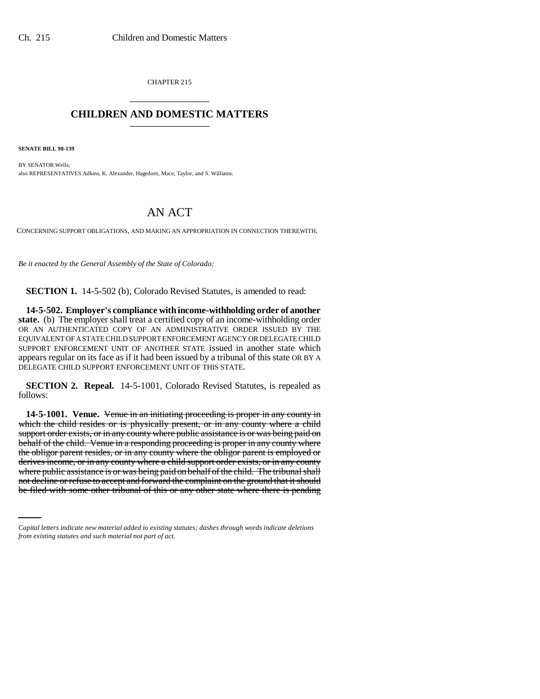CHAPTER 215 \_\_\_\_\_\_\_\_\_\_\_\_\_\_\_

# **CHILDREN AND DOMESTIC MATTERS** \_\_\_\_\_\_\_\_\_\_\_\_\_\_\_

**SENATE BILL 98-139**

BY SENATOR Wells; also REPRESENTATIVES Adkins, K. Alexander, Hagedorn, Mace, Taylor, and S. Williams.

# AN ACT

CONCERNING SUPPORT OBLIGATIONS, AND MAKING AN APPROPRIATION IN CONNECTION THEREWITH.

*Be it enacted by the General Assembly of the State of Colorado:*

**SECTION 1.** 14-5-502 (b), Colorado Revised Statutes, is amended to read:

**14-5-502. Employer's compliance with income-withholding order of another state.** (b) The employer shall treat a certified copy of an income-withholding order OR AN AUTHENTICATED COPY OF AN ADMINISTRATIVE ORDER ISSUED BY THE EQUIVALENT OF A STATE CHILD SUPPORT ENFORCEMENT AGENCY OR DELEGATE CHILD SUPPORT ENFORCEMENT UNIT OF ANOTHER STATE issued in another state which appears regular on its face as if it had been issued by a tribunal of this state OR BY A DELEGATE CHILD SUPPORT ENFORCEMENT UNIT OF THIS STATE.

**SECTION 2. Repeal.** 14-5-1001, Colorado Revised Statutes, is repealed as follows:

where public assistance is or was being paid on behalf of the child. The tribunal shall **14-5-1001. Venue.** Venue in an initiating proceeding is proper in any county in which the child resides or is physically present, or in any county where a child support order exists, or in any county where public assistance is or was being paid on behalf of the child. Venue in a responding proceeding is proper in any county where the obligor parent resides, or in any county where the obligor parent is employed or derives income, or in any county where a child support order exists, or in any county not decline or refuse to accept and forward the complaint on the ground that it should be filed with some other tribunal of this or any other state where there is pending

*Capital letters indicate new material added to existing statutes; dashes through words indicate deletions from existing statutes and such material not part of act.*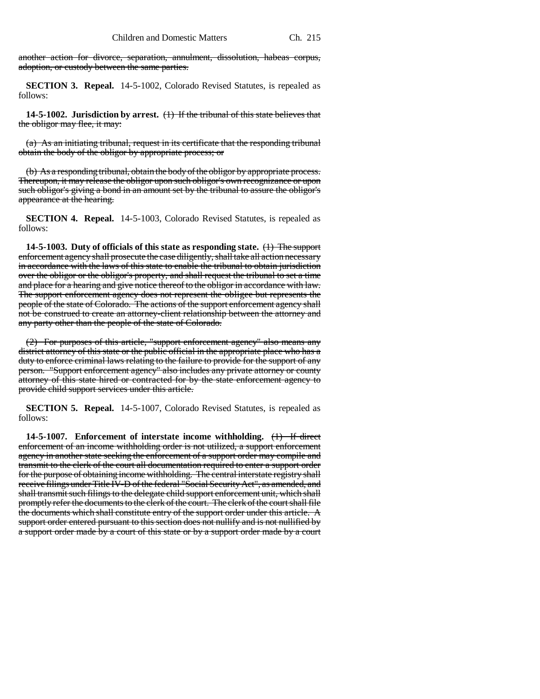another action for divorce, separation, annulment, dissolution, habeas corpus, adoption, or custody between the same parties.

**SECTION 3. Repeal.** 14-5-1002, Colorado Revised Statutes, is repealed as follows:

**14-5-1002. Jurisdiction by arrest.** (1) If the tribunal of this state believes that the obligor may flee, it may:

(a) As an initiating tribunal, request in its certificate that the responding tribunal obtain the body of the obligor by appropriate process; or

(b) As a responding tribunal, obtain the body of the obligor by appropriate process. Thereupon, it may release the obligor upon such obligor's own recognizance or upon such obligor's giving a bond in an amount set by the tribunal to assure the obligor's appearance at the hearing.

**SECTION 4. Repeal.** 14-5-1003, Colorado Revised Statutes, is repealed as follows:

**14-5-1003. Duty of officials of this state as responding state.** (1) The support enforcement agency shall prosecute the case diligently, shall take all action necessary in accordance with the laws of this state to enable the tribunal to obtain jurisdiction over the obligor or the obligor's property, and shall request the tribunal to set a time and place for a hearing and give notice thereof to the obligor in accordance with law. The support enforcement agency does not represent the obligee but represents the people of the state of Colorado. The actions of the support enforcement agency shall not be construed to create an attorney-client relationship between the attorney and any party other than the people of the state of Colorado.

(2) For purposes of this article, "support enforcement agency" also means any district attorney of this state or the public official in the appropriate place who has a duty to enforce criminal laws relating to the failure to provide for the support of any person. "Support enforcement agency" also includes any private attorney or county attorney of this state hired or contracted for by the state enforcement agency to provide child support services under this article.

**SECTION 5. Repeal.** 14-5-1007, Colorado Revised Statutes, is repealed as follows:

**14-5-1007. Enforcement of interstate income withholding.** (1) If direct enforcement of an income withholding order is not utilized, a support enforcement agency in another state seeking the enforcement of a support order may compile and transmit to the clerk of the court all documentation required to enter a support order for the purpose of obtaining income withholding. The central interstate registry shall receive filings under Title IV-D of the federal "Social Security Act", as amended, and shall transmit such filings to the delegate child support enforcement unit, which shall promptly refer the documents to the clerk of the court. The clerk of the court shall file the documents which shall constitute entry of the support order under this article. A support order entered pursuant to this section does not nullify and is not nullified by a support order made by a court of this state or by a support order made by a court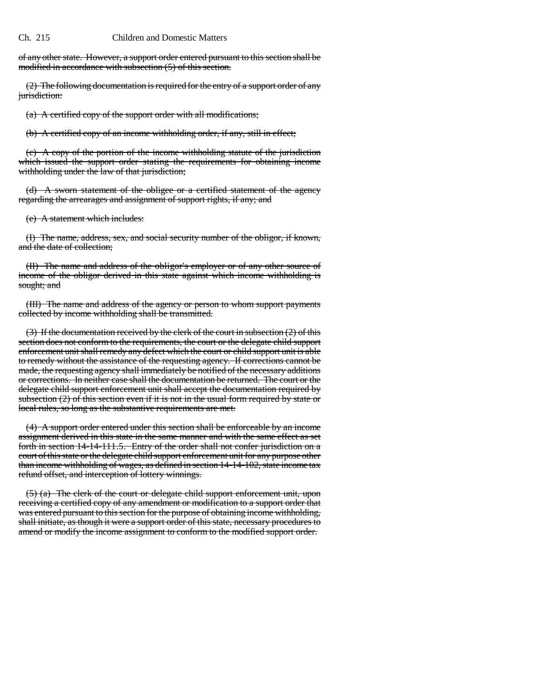of any other state. However, a support order entered pursuant to this section shall be modified in accordance with subsection (5) of this section.

(2) The following documentation is required for the entry of a support order of any jurisdiction:

(a) A certified copy of the support order with all modifications;

(b) A certified copy of an income withholding order, if any, still in effect;

(c) A copy of the portion of the income withholding statute of the jurisdiction which issued the support order stating the requirements for obtaining income withholding under the law of that jurisdiction;

(d) A sworn statement of the obligee or a certified statement of the agency regarding the arrearages and assignment of support rights, if any; and

(e) A statement which includes:

(I) The name, address, sex, and social security number of the obligor, if known, and the date of collection;

(II) The name and address of the obligor's employer or of any other source of income of the obligor derived in this state against which income withholding is sought; and

(III) The name and address of the agency or person to whom support payments collected by income withholding shall be transmitted.

(3) If the documentation received by the clerk of the court in subsection (2) of this section does not conform to the requirements, the court or the delegate child support enforcement unit shall remedy any defect which the court or child support unit is able to remedy without the assistance of the requesting agency. If corrections cannot be made, the requesting agency shall immediately be notified of the necessary additions or corrections. In neither case shall the documentation be returned. The court or the delegate child support enforcement unit shall accept the documentation required by subsection  $(2)$  of this section even if it is not in the usual form required by state or local rules, so long as the substantive requirements are met.

(4) A support order entered under this section shall be enforceable by an income assignment derived in this state in the same manner and with the same effect as set forth in section 14-14-111.5. Entry of the order shall not confer jurisdiction on a court of this state or the delegate child support enforcement unit for any purpose other than income withholding of wages, as defined in section 14-14-102, state income tax refund offset, and interception of lottery winnings.

(5) (a) The clerk of the court or delegate child support enforcement unit, upon receiving a certified copy of any amendment or modification to a support order that was entered pursuant to this section for the purpose of obtaining income withholding, shall initiate, as though it were a support order of this state, necessary procedures to amend or modify the income assignment to conform to the modified support order.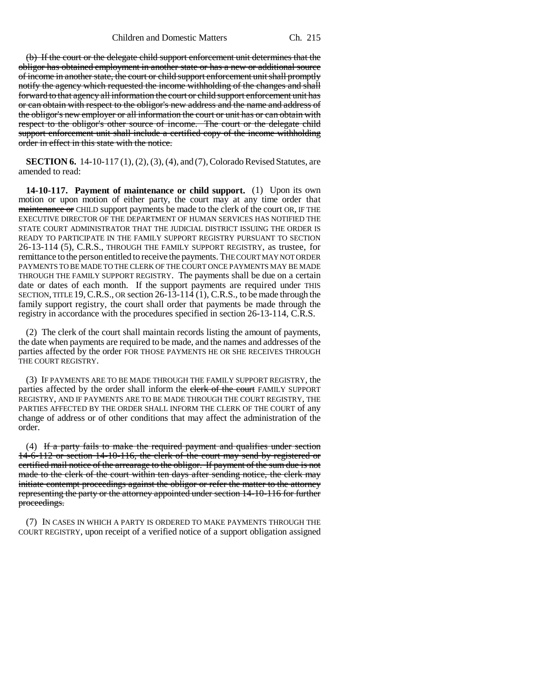(b) If the court or the delegate child support enforcement unit determines that the obligor has obtained employment in another state or has a new or additional source of income in another state, the court or child support enforcement unit shall promptly notify the agency which requested the income withholding of the changes and shall forward to that agency all information the court or child support enforcement unit has or can obtain with respect to the obligor's new address and the name and address of the obligor's new employer or all information the court or unit has or can obtain with respect to the obligor's other source of income. The court or the delegate child support enforcement unit shall include a certified copy of the income withholding order in effect in this state with the notice.

**SECTION 6.** 14-10-117 (1), (2), (3), (4), and (7), Colorado Revised Statutes, are amended to read:

**14-10-117. Payment of maintenance or child support.** (1) Upon its own motion or upon motion of either party, the court may at any time order that maintenance or CHILD support payments be made to the clerk of the court OR, IF THE EXECUTIVE DIRECTOR OF THE DEPARTMENT OF HUMAN SERVICES HAS NOTIFIED THE STATE COURT ADMINISTRATOR THAT THE JUDICIAL DISTRICT ISSUING THE ORDER IS READY TO PARTICIPATE IN THE FAMILY SUPPORT REGISTRY PURSUANT TO SECTION 26-13-114 (5), C.R.S., THROUGH THE FAMILY SUPPORT REGISTRY, as trustee, for remittance to the person entitled to receive the payments. THE COURT MAY NOT ORDER PAYMENTS TO BE MADE TO THE CLERK OF THE COURT ONCE PAYMENTS MAY BE MADE THROUGH THE FAMILY SUPPORT REGISTRY. The payments shall be due on a certain date or dates of each month. If the support payments are required under THIS SECTION, TITLE 19,C.R.S., OR section 26-13-114 (1), C.R.S., to be made through the family support registry, the court shall order that payments be made through the registry in accordance with the procedures specified in section 26-13-114, C.R.S.

(2) The clerk of the court shall maintain records listing the amount of payments, the date when payments are required to be made, and the names and addresses of the parties affected by the order FOR THOSE PAYMENTS HE OR SHE RECEIVES THROUGH THE COURT REGISTRY.

(3) IF PAYMENTS ARE TO BE MADE THROUGH THE FAMILY SUPPORT REGISTRY, the parties affected by the order shall inform the clerk of the court FAMILY SUPPORT REGISTRY, AND IF PAYMENTS ARE TO BE MADE THROUGH THE COURT REGISTRY, THE PARTIES AFFECTED BY THE ORDER SHALL INFORM THE CLERK OF THE COURT of any change of address or of other conditions that may affect the administration of the order.

(4) If a party fails to make the required payment and qualifies under section 14-6-112 or section 14-10-116, the clerk of the court may send by registered or certified mail notice of the arrearage to the obligor. If payment of the sum due is not made to the clerk of the court within ten days after sending notice, the clerk may initiate contempt proceedings against the obligor or refer the matter to the attorney representing the party or the attorney appointed under section 14-10-116 for further proceedings.

(7) IN CASES IN WHICH A PARTY IS ORDERED TO MAKE PAYMENTS THROUGH THE COURT REGISTRY, upon receipt of a verified notice of a support obligation assigned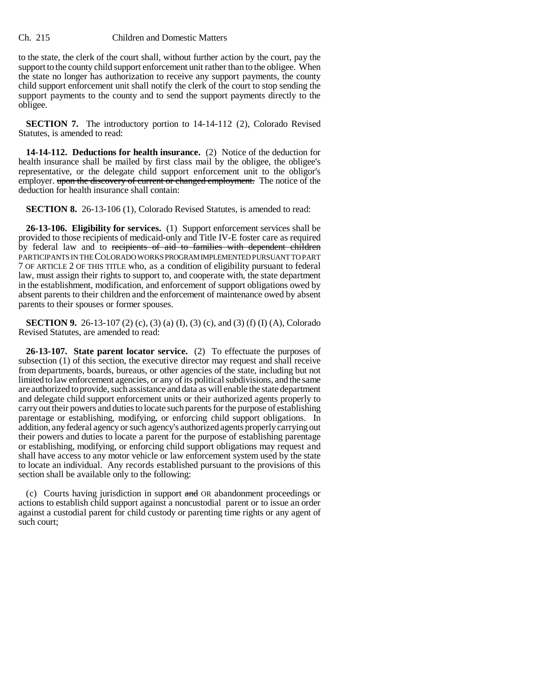to the state, the clerk of the court shall, without further action by the court, pay the support to the county child support enforcement unit rather than to the obligee. When the state no longer has authorization to receive any support payments, the county child support enforcement unit shall notify the clerk of the court to stop sending the support payments to the county and to send the support payments directly to the obligee.

**SECTION 7.** The introductory portion to 14-14-112 (2), Colorado Revised Statutes, is amended to read:

**14-14-112. Deductions for health insurance.** (2) Notice of the deduction for health insurance shall be mailed by first class mail by the obligee, the obligee's representative, or the delegate child support enforcement unit to the obligor's employer. upon the discovery of current or changed employment. The notice of the deduction for health insurance shall contain:

**SECTION 8.** 26-13-106 (1), Colorado Revised Statutes, is amended to read:

**26-13-106. Eligibility for services.** (1) Support enforcement services shall be provided to those recipients of medicaid-only and Title IV-E foster care as required by federal law and to recipients of aid to families with dependent children PARTICIPANTS IN THE COLORADO WORKS PROGRAM IMPLEMENTED PURSUANT TO PART 7 OF ARTICLE 2 OF THIS TITLE who, as a condition of eligibility pursuant to federal law, must assign their rights to support to, and cooperate with, the state department in the establishment, modification, and enforcement of support obligations owed by absent parents to their children and the enforcement of maintenance owed by absent parents to their spouses or former spouses.

**SECTION 9.** 26-13-107 (2) (c), (3) (a) (I), (3) (c), and (3) (f) (I) (A), Colorado Revised Statutes, are amended to read:

**26-13-107. State parent locator service.** (2) To effectuate the purposes of subsection (1) of this section, the executive director may request and shall receive from departments, boards, bureaus, or other agencies of the state, including but not limited to law enforcement agencies, or any of its political subdivisions, and the same are authorized to provide, such assistance and data as will enable the state department and delegate child support enforcement units or their authorized agents properly to carry out their powers and duties to locate such parents for the purpose of establishing parentage or establishing, modifying, or enforcing child support obligations. In addition, any federal agency or such agency's authorized agents properly carrying out their powers and duties to locate a parent for the purpose of establishing parentage or establishing, modifying, or enforcing child support obligations may request and shall have access to any motor vehicle or law enforcement system used by the state to locate an individual. Any records established pursuant to the provisions of this section shall be available only to the following:

(c) Courts having jurisdiction in support and OR abandonment proceedings or actions to establish child support against a noncustodial parent or to issue an order against a custodial parent for child custody or parenting time rights or any agent of such court;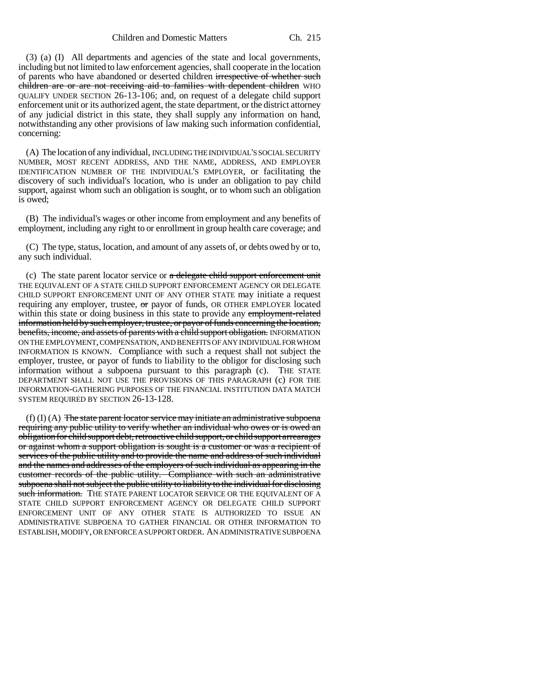(3) (a) (I) All departments and agencies of the state and local governments, including but not limited to law enforcement agencies, shall cooperate in the location of parents who have abandoned or deserted children irrespective of whether such children are or are not receiving aid to families with dependent children WHO QUALIFY UNDER SECTION 26-13-106; and, on request of a delegate child support enforcement unit or its authorized agent, the state department, or the district attorney of any judicial district in this state, they shall supply any information on hand, notwithstanding any other provisions of law making such information confidential, concerning:

(A) The location of any individual, INCLUDING THE INDIVIDUAL'S SOCIAL SECURITY NUMBER, MOST RECENT ADDRESS, AND THE NAME, ADDRESS, AND EMPLOYER IDENTIFICATION NUMBER OF THE INDIVIDUAL'S EMPLOYER, or facilitating the discovery of such individual's location, who is under an obligation to pay child support, against whom such an obligation is sought, or to whom such an obligation is owed;

(B) The individual's wages or other income from employment and any benefits of employment, including any right to or enrollment in group health care coverage; and

(C) The type, status, location, and amount of any assets of, or debts owed by or to, any such individual.

(c) The state parent locator service or  $a$  delegate child support enforcement unit THE EQUIVALENT OF A STATE CHILD SUPPORT ENFORCEMENT AGENCY OR DELEGATE CHILD SUPPORT ENFORCEMENT UNIT OF ANY OTHER STATE may initiate a request requiring any employer, trustee,  $\sigma$ r payor of funds, OR OTHER EMPLOYER located within this state or doing business in this state to provide any employment-related information held by such employer, trustee, or payor of funds concerning the location, benefits, income, and assets of parents with a child support obligation. INFORMATION ON THE EMPLOYMENT, COMPENSATION, AND BENEFITS OF ANY INDIVIDUAL FOR WHOM INFORMATION IS KNOWN. Compliance with such a request shall not subject the employer, trustee, or payor of funds to liability to the obligor for disclosing such information without a subpoena pursuant to this paragraph (c). THE STATE DEPARTMENT SHALL NOT USE THE PROVISIONS OF THIS PARAGRAPH (c) FOR THE INFORMATION-GATHERING PURPOSES OF THE FINANCIAL INSTITUTION DATA MATCH SYSTEM REQUIRED BY SECTION 26-13-128.

 $(f)$  (I)  $(A)$  The state parent locator service may initiate an administrative subpoena requiring any public utility to verify whether an individual who owes or is owed an obligation for child support debt, retroactive child support, or child support arrearages or against whom a support obligation is sought is a customer or was a recipient of services of the public utility and to provide the name and address of such individual and the names and addresses of the employers of such individual as appearing in the customer records of the public utility. Compliance with such an administrative subpoena shall not subject the public utility to liability to the individual for disclosing such information. THE STATE PARENT LOCATOR SERVICE OR THE EQUIVALENT OF A STATE CHILD SUPPORT ENFORCEMENT AGENCY OR DELEGATE CHILD SUPPORT ENFORCEMENT UNIT OF ANY OTHER STATE IS AUTHORIZED TO ISSUE AN ADMINISTRATIVE SUBPOENA TO GATHER FINANCIAL OR OTHER INFORMATION TO ESTABLISH, MODIFY, OR ENFORCE A SUPPORT ORDER. AN ADMINISTRATIVE SUBPOENA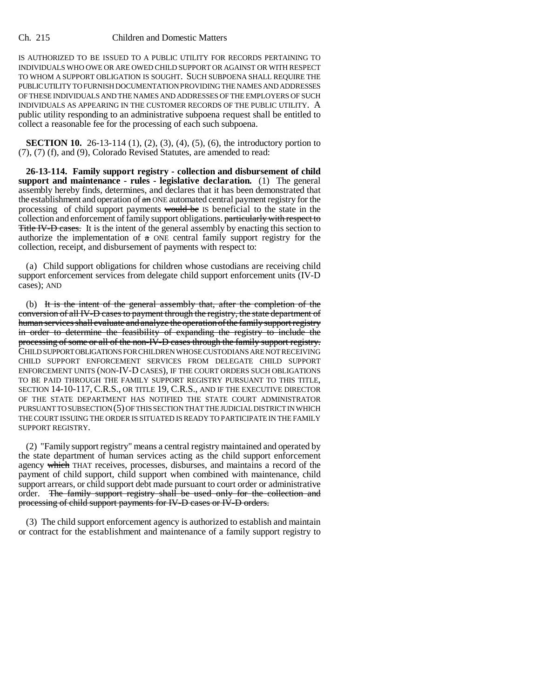IS AUTHORIZED TO BE ISSUED TO A PUBLIC UTILITY FOR RECORDS PERTAINING TO INDIVIDUALS WHO OWE OR ARE OWED CHILD SUPPORT OR AGAINST OR WITH RESPECT TO WHOM A SUPPORT OBLIGATION IS SOUGHT. SUCH SUBPOENA SHALL REQUIRE THE PUBLIC UTILITY TO FURNISH DOCUMENTATION PROVIDING THE NAMES AND ADDRESSES OF THESE INDIVIDUALS AND THE NAMES AND ADDRESSES OF THE EMPLOYERS OF SUCH INDIVIDUALS AS APPEARING IN THE CUSTOMER RECORDS OF THE PUBLIC UTILITY. A public utility responding to an administrative subpoena request shall be entitled to collect a reasonable fee for the processing of each such subpoena.

**SECTION 10.** 26-13-114 (1), (2), (3), (4), (5), (6), the introductory portion to (7), (7) (f), and (9), Colorado Revised Statutes, are amended to read:

**26-13-114. Family support registry - collection and disbursement of child support and maintenance - rules - legislative declaration.** (1) The general assembly hereby finds, determines, and declares that it has been demonstrated that the establishment and operation of  $\theta$  and ONE automated central payment registry for the processing of child support payments would be IS beneficial to the state in the collection and enforcement of family support obligations. particularly with respect to Title IV-D cases. It is the intent of the general assembly by enacting this section to authorize the implementation of  $a$  ONE central family support registry for the collection, receipt, and disbursement of payments with respect to:

(a) Child support obligations for children whose custodians are receiving child support enforcement services from delegate child support enforcement units (IV-D cases); AND

(b) It is the intent of the general assembly that, after the completion of the conversion of all IV-D cases to payment through the registry, the state department of human services shall evaluate and analyze the operation of the family support registry in order to determine the feasibility of expanding the registry to include the processing of some or all of the non-IV-D cases through the family support registry. CHILD SUPPORT OBLIGATIONS FOR CHILDREN WHOSE CUSTODIANS ARE NOT RECEIVING CHILD SUPPORT ENFORCEMENT SERVICES FROM DELEGATE CHILD SUPPORT ENFORCEMENT UNITS (NON-IV-D CASES), IF THE COURT ORDERS SUCH OBLIGATIONS TO BE PAID THROUGH THE FAMILY SUPPORT REGISTRY PURSUANT TO THIS TITLE, SECTION 14-10-117, C.R.S., OR TITLE 19, C.R.S., AND IF THE EXECUTIVE DIRECTOR OF THE STATE DEPARTMENT HAS NOTIFIED THE STATE COURT ADMINISTRATOR PURSUANT TO SUBSECTION (5) OF THIS SECTION THAT THE JUDICIAL DISTRICT IN WHICH THE COURT ISSUING THE ORDER IS SITUATED IS READY TO PARTICIPATE IN THE FAMILY SUPPORT REGISTRY.

(2) "Family support registry" means a central registry maintained and operated by the state department of human services acting as the child support enforcement agency which THAT receives, processes, disburses, and maintains a record of the payment of child support, child support when combined with maintenance, child support arrears, or child support debt made pursuant to court order or administrative order. The family support registry shall be used only for the collection and processing of child support payments for IV-D cases or IV-D orders.

(3) The child support enforcement agency is authorized to establish and maintain or contract for the establishment and maintenance of a family support registry to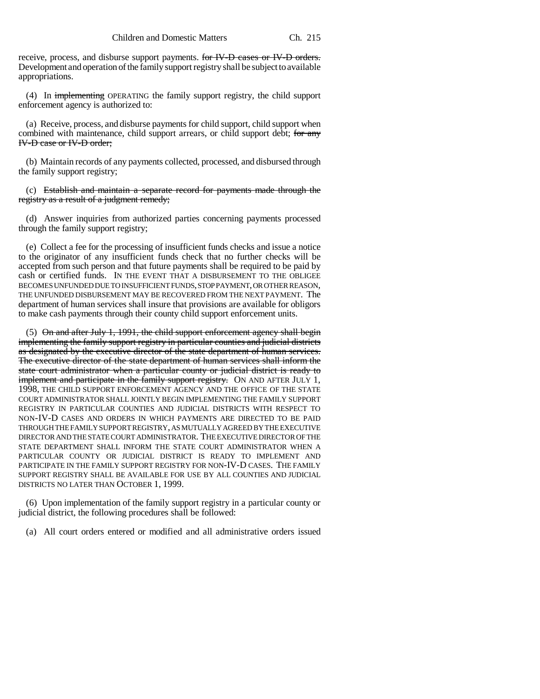receive, process, and disburse support payments. for IV-D cases or IV-D orders. Development and operation of the family support registry shall be subject to available appropriations.

(4) In implementing OPERATING the family support registry, the child support enforcement agency is authorized to:

(a) Receive, process, and disburse payments for child support, child support when combined with maintenance, child support arrears, or child support debt; for any IV-D case or IV-D order;

(b) Maintain records of any payments collected, processed, and disbursed through the family support registry;

(c) Establish and maintain a separate record for payments made through the registry as a result of a judgment remedy;

(d) Answer inquiries from authorized parties concerning payments processed through the family support registry;

(e) Collect a fee for the processing of insufficient funds checks and issue a notice to the originator of any insufficient funds check that no further checks will be accepted from such person and that future payments shall be required to be paid by cash or certified funds. IN THE EVENT THAT A DISBURSEMENT TO THE OBLIGEE BECOMES UNFUNDED DUE TO INSUFFICIENT FUNDS, STOP PAYMENT, OR OTHER REASON, THE UNFUNDED DISBURSEMENT MAY BE RECOVERED FROM THE NEXT PAYMENT. The department of human services shall insure that provisions are available for obligors to make cash payments through their county child support enforcement units.

 $(5)$  On and after July 1, 1991, the child support enforcement agency shall begin implementing the family support registry in particular counties and judicial districts as designated by the executive director of the state department of human services. The executive director of the state department of human services shall inform the state court administrator when a particular county or judicial district is ready to implement and participate in the family support registry. ON AND AFTER JULY 1, 1998, THE CHILD SUPPORT ENFORCEMENT AGENCY AND THE OFFICE OF THE STATE COURT ADMINISTRATOR SHALL JOINTLY BEGIN IMPLEMENTING THE FAMILY SUPPORT REGISTRY IN PARTICULAR COUNTIES AND JUDICIAL DISTRICTS WITH RESPECT TO NON-IV-D CASES AND ORDERS IN WHICH PAYMENTS ARE DIRECTED TO BE PAID THROUGH THE FAMILY SUPPORT REGISTRY, AS MUTUALLY AGREED BY THE EXECUTIVE DIRECTOR AND THE STATE COURT ADMINISTRATOR. THE EXECUTIVE DIRECTOR OF THE STATE DEPARTMENT SHALL INFORM THE STATE COURT ADMINISTRATOR WHEN A PARTICULAR COUNTY OR JUDICIAL DISTRICT IS READY TO IMPLEMENT AND PARTICIPATE IN THE FAMILY SUPPORT REGISTRY FOR NON-IV-D CASES. THE FAMILY SUPPORT REGISTRY SHALL BE AVAILABLE FOR USE BY ALL COUNTIES AND JUDICIAL DISTRICTS NO LATER THAN OCTOBER 1, 1999.

(6) Upon implementation of the family support registry in a particular county or judicial district, the following procedures shall be followed:

(a) All court orders entered or modified and all administrative orders issued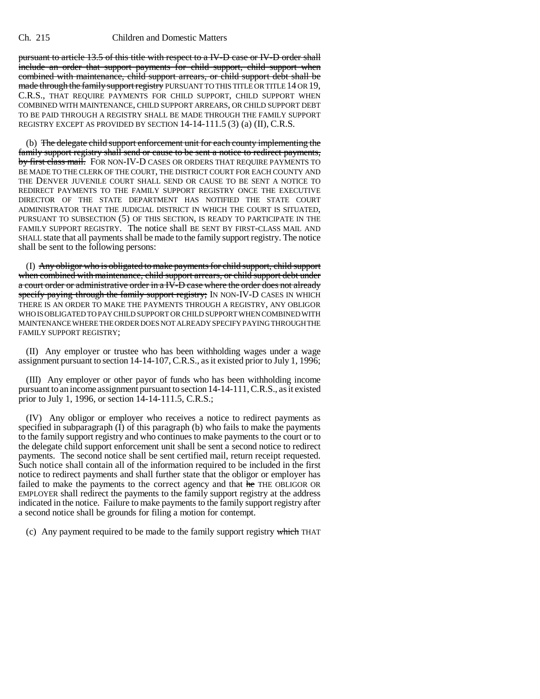pursuant to article 13.5 of this title with respect to a IV-D case or IV-D order shall include an order that support payments for child support, child support when combined with maintenance, child support arrears, or child support debt shall be made through the family support registry PURSUANT TO THIS TITLE OR TITLE 14 OR 19, C.R.S., THAT REQUIRE PAYMENTS FOR CHILD SUPPORT, CHILD SUPPORT WHEN COMBINED WITH MAINTENANCE, CHILD SUPPORT ARREARS, OR CHILD SUPPORT DEBT TO BE PAID THROUGH A REGISTRY SHALL BE MADE THROUGH THE FAMILY SUPPORT REGISTRY EXCEPT AS PROVIDED BY SECTION 14-14-111.5 (3) (a) (II), C.R.S.

(b) The delegate child support enforcement unit for each county implementing the family support registry shall send or cause to be sent a notice to redirect payments, by first class mail. FOR NON-IV-D CASES OR ORDERS THAT REQUIRE PAYMENTS TO BE MADE TO THE CLERK OF THE COURT, THE DISTRICT COURT FOR EACH COUNTY AND THE DENVER JUVENILE COURT SHALL SEND OR CAUSE TO BE SENT A NOTICE TO REDIRECT PAYMENTS TO THE FAMILY SUPPORT REGISTRY ONCE THE EXECUTIVE DIRECTOR OF THE STATE DEPARTMENT HAS NOTIFIED THE STATE COURT ADMINISTRATOR THAT THE JUDICIAL DISTRICT IN WHICH THE COURT IS SITUATED, PURSUANT TO SUBSECTION (5) OF THIS SECTION, IS READY TO PARTICIPATE IN THE FAMILY SUPPORT REGISTRY. The notice shall BE SENT BY FIRST-CLASS MAIL AND SHALL state that all payments shall be made to the family support registry. The notice shall be sent to the following persons:

(I) Any obligor who is obligated to make payments for child support, child support when combined with maintenance, child support arrears, or child support debt under a court order or administrative order in a IV-D case where the order does not already specify paying through the family support registry; IN NON-IV-D CASES IN WHICH THERE IS AN ORDER TO MAKE THE PAYMENTS THROUGH A REGISTRY, ANY OBLIGOR WHO IS OBLIGATED TO PAY CHILD SUPPORT OR CHILD SUPPORT WHEN COMBINED WITH MAINTENANCE WHERE THE ORDER DOES NOT ALREADY SPECIFY PAYING THROUGH THE FAMILY SUPPORT REGISTRY;

(II) Any employer or trustee who has been withholding wages under a wage assignment pursuant to section 14-14-107, C.R.S., as it existed prior to July 1, 1996;

(III) Any employer or other payor of funds who has been withholding income pursuant to an income assignment pursuant to section 14-14-111, C.R.S., as it existed prior to July 1, 1996, or section 14-14-111.5, C.R.S.;

(IV) Any obligor or employer who receives a notice to redirect payments as specified in subparagraph  $(\tilde{I})$  of this paragraph  $(b)$  who fails to make the payments to the family support registry and who continues to make payments to the court or to the delegate child support enforcement unit shall be sent a second notice to redirect payments. The second notice shall be sent certified mail, return receipt requested. Such notice shall contain all of the information required to be included in the first notice to redirect payments and shall further state that the obligor or employer has failed to make the payments to the correct agency and that he THE OBLIGOR OR EMPLOYER shall redirect the payments to the family support registry at the address indicated in the notice. Failure to make payments to the family support registry after a second notice shall be grounds for filing a motion for contempt.

(c) Any payment required to be made to the family support registry  $\frac{1}{2}$  which THAT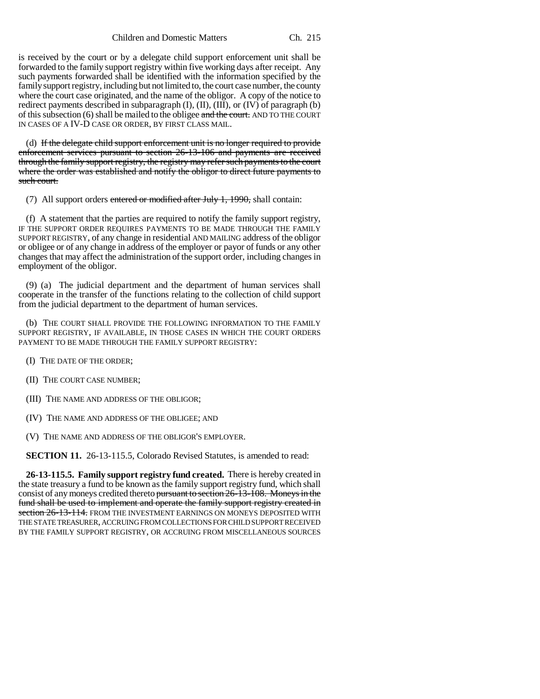is received by the court or by a delegate child support enforcement unit shall be forwarded to the family support registry within five working days after receipt. Any such payments forwarded shall be identified with the information specified by the family support registry, including but not limited to, the court case number, the county where the court case originated, and the name of the obligor. A copy of the notice to redirect payments described in subparagraph (I), (II), (III), or (IV) of paragraph (b) of this subsection  $(6)$  shall be mailed to the obligee and the court. AND TO THE COURT IN CASES OF A IV-D CASE OR ORDER, BY FIRST CLASS MAIL.

(d) If the delegate child support enforcement unit is no longer required to provide enforcement services pursuant to section 26-13-106 and payments are received through the family support registry, the registry may refer such payments to the court where the order was established and notify the obligor to direct future payments to such court.

(7) All support orders entered or modified after July  $1, 1990$ , shall contain:

(f) A statement that the parties are required to notify the family support registry, IF THE SUPPORT ORDER REQUIRES PAYMENTS TO BE MADE THROUGH THE FAMILY SUPPORT REGISTRY, of any change in residential AND MAILING address of the obligor or obligee or of any change in address of the employer or payor of funds or any other changes that may affect the administration of the support order, including changes in employment of the obligor.

(9) (a) The judicial department and the department of human services shall cooperate in the transfer of the functions relating to the collection of child support from the judicial department to the department of human services.

(b) THE COURT SHALL PROVIDE THE FOLLOWING INFORMATION TO THE FAMILY SUPPORT REGISTRY, IF AVAILABLE, IN THOSE CASES IN WHICH THE COURT ORDERS PAYMENT TO BE MADE THROUGH THE FAMILY SUPPORT REGISTRY:

(I) THE DATE OF THE ORDER;

- (II) THE COURT CASE NUMBER;
- (III) THE NAME AND ADDRESS OF THE OBLIGOR;
- (IV) THE NAME AND ADDRESS OF THE OBLIGEE; AND

(V) THE NAME AND ADDRESS OF THE OBLIGOR'S EMPLOYER.

**SECTION 11.** 26-13-115.5, Colorado Revised Statutes, is amended to read:

**26-13-115.5. Family support registry fund created.** There is hereby created in the state treasury a fund to be known as the family support registry fund, which shall consist of any moneys credited thereto pursuant to section 26-13-108. Moneys in the fund shall be used to implement and operate the family support registry created in section  $26-13-114$ . FROM THE INVESTMENT EARNINGS ON MONEYS DEPOSITED WITH THE STATE TREASURER, ACCRUING FROM COLLECTIONS FOR CHILD SUPPORT RECEIVED BY THE FAMILY SUPPORT REGISTRY, OR ACCRUING FROM MISCELLANEOUS SOURCES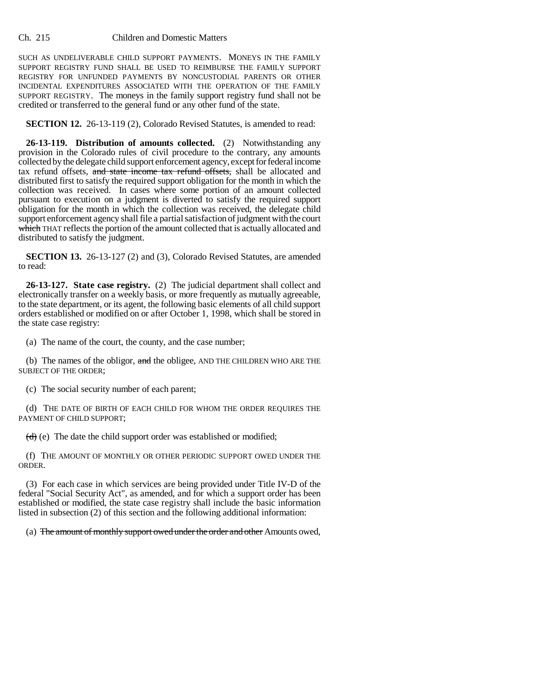SUCH AS UNDELIVERABLE CHILD SUPPORT PAYMENTS. MONEYS IN THE FAMILY SUPPORT REGISTRY FUND SHALL BE USED TO REIMBURSE THE FAMILY SUPPORT REGISTRY FOR UNFUNDED PAYMENTS BY NONCUSTODIAL PARENTS OR OTHER INCIDENTAL EXPENDITURES ASSOCIATED WITH THE OPERATION OF THE FAMILY SUPPORT REGISTRY. The moneys in the family support registry fund shall not be credited or transferred to the general fund or any other fund of the state.

**SECTION 12.** 26-13-119 (2), Colorado Revised Statutes, is amended to read:

**26-13-119. Distribution of amounts collected.** (2) Notwithstanding any provision in the Colorado rules of civil procedure to the contrary, any amounts collected by the delegate child support enforcement agency, except for federal income tax refund offsets, and state income tax refund offsets, shall be allocated and distributed first to satisfy the required support obligation for the month in which the collection was received. In cases where some portion of an amount collected pursuant to execution on a judgment is diverted to satisfy the required support obligation for the month in which the collection was received, the delegate child support enforcement agency shall file a partial satisfaction of judgment with the court which THAT reflects the portion of the amount collected that is actually allocated and distributed to satisfy the judgment.

**SECTION 13.** 26-13-127 (2) and (3), Colorado Revised Statutes, are amended to read:

**26-13-127. State case registry.** (2) The judicial department shall collect and electronically transfer on a weekly basis, or more frequently as mutually agreeable, to the state department, or its agent, the following basic elements of all child support orders established or modified on or after October 1, 1998, which shall be stored in the state case registry:

(a) The name of the court, the county, and the case number;

(b) The names of the obligor,  $\frac{1}{2}$  and the obligee, AND THE CHILDREN WHO ARE THE SUBJECT OF THE ORDER;

(c) The social security number of each parent;

(d) THE DATE OF BIRTH OF EACH CHILD FOR WHOM THE ORDER REQUIRES THE PAYMENT OF CHILD SUPPORT;

 $(d)$  (e) The date the child support order was established or modified;

(f) THE AMOUNT OF MONTHLY OR OTHER PERIODIC SUPPORT OWED UNDER THE ORDER.

(3) For each case in which services are being provided under Title IV-D of the federal "Social Security Act", as amended, and for which a support order has been established or modified, the state case registry shall include the basic information listed in subsection (2) of this section and the following additional information:

(a) The amount of monthly support owed under the order and other Amounts owed,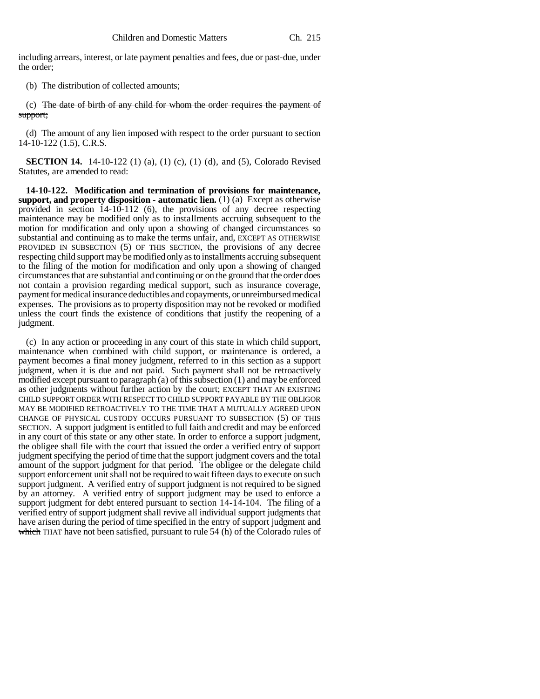including arrears, interest, or late payment penalties and fees, due or past-due, under the order;

(b) The distribution of collected amounts;

(c) The date of birth of any child for whom the order requires the payment of support;

(d) The amount of any lien imposed with respect to the order pursuant to section 14-10-122 (1.5), C.R.S.

**SECTION 14.** 14-10-122 (1) (a), (1) (c), (1) (d), and (5), Colorado Revised Statutes, are amended to read:

**14-10-122. Modification and termination of provisions for maintenance, support, and property disposition - automatic lien.** (1) (a) Except as otherwise provided in section 14-10-112 (6), the provisions of any decree respecting maintenance may be modified only as to installments accruing subsequent to the motion for modification and only upon a showing of changed circumstances so substantial and continuing as to make the terms unfair, and, EXCEPT AS OTHERWISE PROVIDED IN SUBSECTION (5) OF THIS SECTION, the provisions of any decree respecting child support may be modified only as to installments accruing subsequent to the filing of the motion for modification and only upon a showing of changed circumstances that are substantial and continuing or on the ground that the order does not contain a provision regarding medical support, such as insurance coverage, payment for medical insurance deductibles and copayments, or unreimbursed medical expenses. The provisions as to property disposition may not be revoked or modified unless the court finds the existence of conditions that justify the reopening of a judgment.

(c) In any action or proceeding in any court of this state in which child support, maintenance when combined with child support, or maintenance is ordered, a payment becomes a final money judgment, referred to in this section as a support judgment, when it is due and not paid. Such payment shall not be retroactively modified except pursuant to paragraph (a) of this subsection (1) and may be enforced as other judgments without further action by the court; EXCEPT THAT AN EXISTING CHILD SUPPORT ORDER WITH RESPECT TO CHILD SUPPORT PAYABLE BY THE OBLIGOR MAY BE MODIFIED RETROACTIVELY TO THE TIME THAT A MUTUALLY AGREED UPON CHANGE OF PHYSICAL CUSTODY OCCURS PURSUANT TO SUBSECTION (5) OF THIS SECTION. A support judgment is entitled to full faith and credit and may be enforced in any court of this state or any other state. In order to enforce a support judgment, the obligee shall file with the court that issued the order a verified entry of support judgment specifying the period of time that the support judgment covers and the total amount of the support judgment for that period. The obligee or the delegate child support enforcement unit shall not be required to wait fifteen days to execute on such support judgment. A verified entry of support judgment is not required to be signed by an attorney. A verified entry of support judgment may be used to enforce a support judgment for debt entered pursuant to section 14-14-104. The filing of a verified entry of support judgment shall revive all individual support judgments that have arisen during the period of time specified in the entry of support judgment and which THAT have not been satisfied, pursuant to rule 54 (h) of the Colorado rules of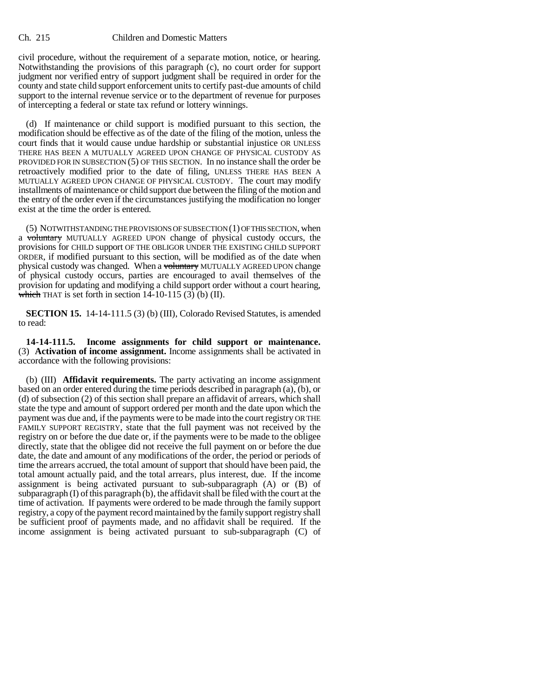civil procedure, without the requirement of a separate motion, notice, or hearing. Notwithstanding the provisions of this paragraph (c), no court order for support judgment nor verified entry of support judgment shall be required in order for the county and state child support enforcement units to certify past-due amounts of child support to the internal revenue service or to the department of revenue for purposes of intercepting a federal or state tax refund or lottery winnings.

(d) If maintenance or child support is modified pursuant to this section, the modification should be effective as of the date of the filing of the motion, unless the court finds that it would cause undue hardship or substantial injustice OR UNLESS THERE HAS BEEN A MUTUALLY AGREED UPON CHANGE OF PHYSICAL CUSTODY AS PROVIDED FOR IN SUBSECTION (5) OF THIS SECTION. In no instance shall the order be retroactively modified prior to the date of filing, UNLESS THERE HAS BEEN A MUTUALLY AGREED UPON CHANGE OF PHYSICAL CUSTODY. The court may modify installments of maintenance or child support due between the filing of the motion and the entry of the order even if the circumstances justifying the modification no longer exist at the time the order is entered.

(5) NOTWITHSTANDING THE PROVISIONS OF SUBSECTION (1) OF THIS SECTION, when a voluntary MUTUALLY AGREED UPON change of physical custody occurs, the provisions for CHILD support OF THE OBLIGOR UNDER THE EXISTING CHILD SUPPORT ORDER, if modified pursuant to this section, will be modified as of the date when physical custody was changed. When a voluntary MUTUALLY AGREED UPON change of physical custody occurs, parties are encouraged to avail themselves of the provision for updating and modifying a child support order without a court hearing, which THAT is set forth in section  $14-10-115$  (3) (b) (II).

**SECTION 15.** 14-14-111.5 (3) (b) (III), Colorado Revised Statutes, is amended to read:

**14-14-111.5. Income assignments for child support or maintenance.** (3) **Activation of income assignment.** Income assignments shall be activated in accordance with the following provisions:

(b) (III) **Affidavit requirements.** The party activating an income assignment based on an order entered during the time periods described in paragraph (a), (b), or (d) of subsection (2) of this section shall prepare an affidavit of arrears, which shall state the type and amount of support ordered per month and the date upon which the payment was due and, if the payments were to be made into the court registry OR THE FAMILY SUPPORT REGISTRY, state that the full payment was not received by the registry on or before the due date or, if the payments were to be made to the obligee directly, state that the obligee did not receive the full payment on or before the due date, the date and amount of any modifications of the order, the period or periods of time the arrears accrued, the total amount of support that should have been paid, the total amount actually paid, and the total arrears, plus interest, due. If the income assignment is being activated pursuant to sub-subparagraph (A) or (B) of subparagraph (I) of this paragraph (b), the affidavit shall be filed with the court at the time of activation. If payments were ordered to be made through the family support registry, a copy of the payment record maintained by the family support registry shall be sufficient proof of payments made, and no affidavit shall be required. If the income assignment is being activated pursuant to sub-subparagraph (C) of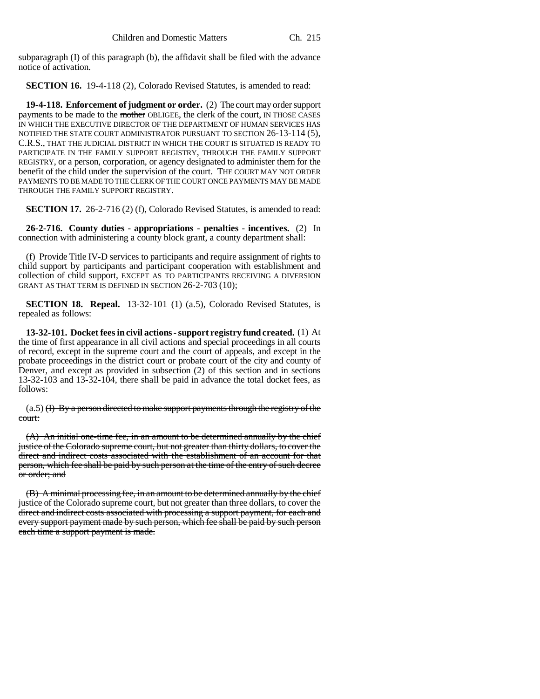subparagraph (I) of this paragraph (b), the affidavit shall be filed with the advance notice of activation.

**SECTION 16.** 19-4-118 (2), Colorado Revised Statutes, is amended to read:

**19-4-118. Enforcement of judgment or order.** (2) The court may order support payments to be made to the mother OBLIGEE, the clerk of the court, IN THOSE CASES IN WHICH THE EXECUTIVE DIRECTOR OF THE DEPARTMENT OF HUMAN SERVICES HAS NOTIFIED THE STATE COURT ADMINISTRATOR PURSUANT TO SECTION 26-13-114 (5), C.R.S., THAT THE JUDICIAL DISTRICT IN WHICH THE COURT IS SITUATED IS READY TO PARTICIPATE IN THE FAMILY SUPPORT REGISTRY, THROUGH THE FAMILY SUPPORT REGISTRY, or a person, corporation, or agency designated to administer them for the benefit of the child under the supervision of the court. THE COURT MAY NOT ORDER PAYMENTS TO BE MADE TO THE CLERK OF THE COURT ONCE PAYMENTS MAY BE MADE THROUGH THE FAMILY SUPPORT REGISTRY.

**SECTION 17.** 26-2-716 (2) (f), Colorado Revised Statutes, is amended to read:

**26-2-716. County duties - appropriations - penalties - incentives.** (2) In connection with administering a county block grant, a county department shall:

(f) Provide Title IV-D services to participants and require assignment of rights to child support by participants and participant cooperation with establishment and collection of child support, EXCEPT AS TO PARTICIPANTS RECEIVING A DIVERSION GRANT AS THAT TERM IS DEFINED IN SECTION 26-2-703 (10);

**SECTION 18. Repeal.** 13-32-101 (1) (a.5), Colorado Revised Statutes, is repealed as follows:

**13-32-101. Docket fees in civil actions - support registry fund created.** (1) At the time of first appearance in all civil actions and special proceedings in all courts of record, except in the supreme court and the court of appeals, and except in the probate proceedings in the district court or probate court of the city and county of Denver, and except as provided in subsection (2) of this section and in sections 13-32-103 and 13-32-104, there shall be paid in advance the total docket fees, as follows:

 $(a.5)$  (I) By a person directed to make support payments through the registry of the court:

(A) An initial one-time fee, in an amount to be determined annually by the chief justice of the Colorado supreme court, but not greater than thirty dollars, to cover the direct and indirect costs associated with the establishment of an account for that person, which fee shall be paid by such person at the time of the entry of such decree or order; and

(B) A minimal processing fee, in an amount to be determined annually by the chief justice of the Colorado supreme court, but not greater than three dollars, to cover the direct and indirect costs associated with processing a support payment, for each and every support payment made by such person, which fee shall be paid by such person each time a support payment is made.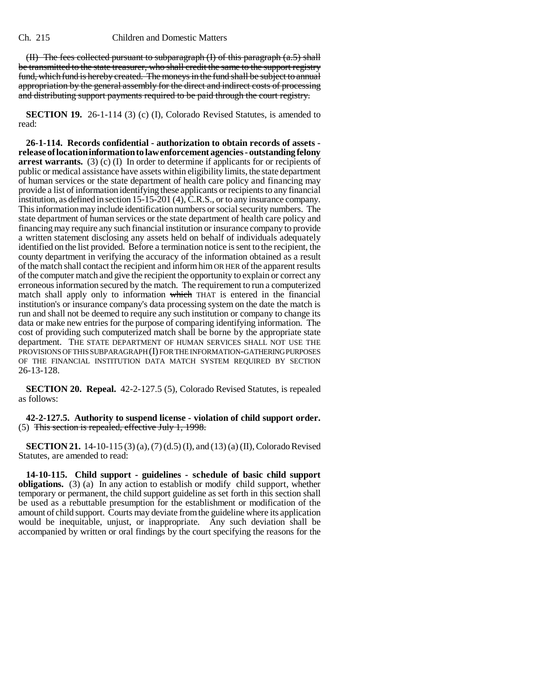(II) The fees collected pursuant to subparagraph  $(I)$  of this paragraph  $(a.5)$  shall be transmitted to the state treasurer, who shall credit the same to the support registry fund, which fund is hereby created. The moneys in the fund shall be subject to annual appropriation by the general assembly for the direct and indirect costs of processing and distributing support payments required to be paid through the court registry.

**SECTION 19.** 26-1-114 (3) (c) (I), Colorado Revised Statutes, is amended to read:

**26-1-114. Records confidential - authorization to obtain records of assets release of location information to law enforcement agencies - outstanding felony arrest warrants.** (3) (c) (I) In order to determine if applicants for or recipients of public or medical assistance have assets within eligibility limits, the state department of human services or the state department of health care policy and financing may provide a list of information identifying these applicants or recipients to any financial institution, as defined in section 15-15-201 (4), C.R.S., or to any insurance company. This information may include identification numbers or social security numbers. The state department of human services or the state department of health care policy and financing may require any such financial institution or insurance company to provide a written statement disclosing any assets held on behalf of individuals adequately identified on the list provided. Before a termination notice is sent to the recipient, the county department in verifying the accuracy of the information obtained as a result of the match shall contact the recipient and inform him OR HER of the apparent results of the computer match and give the recipient the opportunity to explain or correct any erroneous information secured by the match. The requirement to run a computerized match shall apply only to information which THAT is entered in the financial institution's or insurance company's data processing system on the date the match is run and shall not be deemed to require any such institution or company to change its data or make new entries for the purpose of comparing identifying information. The cost of providing such computerized match shall be borne by the appropriate state department. THE STATE DEPARTMENT OF HUMAN SERVICES SHALL NOT USE THE PROVISIONS OF THIS SUBPARAGRAPH (I) FOR THE INFORMATION-GATHERING PURPOSES OF THE FINANCIAL INSTITUTION DATA MATCH SYSTEM REQUIRED BY SECTION 26-13-128.

**SECTION 20. Repeal.** 42-2-127.5 (5), Colorado Revised Statutes, is repealed as follows:

**42-2-127.5. Authority to suspend license - violation of child support order.** (5) This section is repealed, effective July 1, 1998.

**SECTION 21.** 14-10-115 (3) (a), (7) (d.5) (I), and (13) (a) (II), Colorado Revised Statutes, are amended to read:

**14-10-115. Child support - guidelines - schedule of basic child support obligations.** (3) (a) In any action to establish or modify child support, whether temporary or permanent, the child support guideline as set forth in this section shall be used as a rebuttable presumption for the establishment or modification of the amount of child support. Courts may deviate from the guideline where its application would be inequitable, unjust, or inappropriate. Any such deviation shall be accompanied by written or oral findings by the court specifying the reasons for the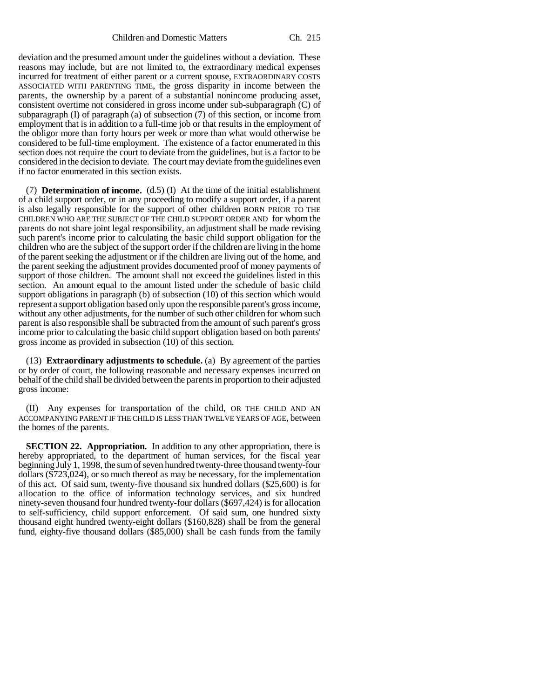deviation and the presumed amount under the guidelines without a deviation. These reasons may include, but are not limited to, the extraordinary medical expenses incurred for treatment of either parent or a current spouse, EXTRAORDINARY COSTS ASSOCIATED WITH PARENTING TIME, the gross disparity in income between the parents, the ownership by a parent of a substantial nonincome producing asset, consistent overtime not considered in gross income under sub-subparagraph (C) of subparagraph  $(I)$  of paragraph  $(a)$  of subsection  $(7)$  of this section, or income from employment that is in addition to a full-time job or that results in the employment of the obligor more than forty hours per week or more than what would otherwise be considered to be full-time employment. The existence of a factor enumerated in this section does not require the court to deviate from the guidelines, but is a factor to be considered in the decision to deviate. The court may deviate from the guidelines even if no factor enumerated in this section exists.

(7) **Determination of income.** (d.5) (I) At the time of the initial establishment of a child support order, or in any proceeding to modify a support order, if a parent is also legally responsible for the support of other children BORN PRIOR TO THE CHILDREN WHO ARE THE SUBJECT OF THE CHILD SUPPORT ORDER AND for whom the parents do not share joint legal responsibility, an adjustment shall be made revising such parent's income prior to calculating the basic child support obligation for the children who are the subject of the support order if the children are living in the home of the parent seeking the adjustment or if the children are living out of the home, and the parent seeking the adjustment provides documented proof of money payments of support of those children. The amount shall not exceed the guidelines listed in this section. An amount equal to the amount listed under the schedule of basic child support obligations in paragraph (b) of subsection (10) of this section which would represent a support obligation based only upon the responsible parent's gross income, without any other adjustments, for the number of such other children for whom such parent is also responsible shall be subtracted from the amount of such parent's gross income prior to calculating the basic child support obligation based on both parents' gross income as provided in subsection (10) of this section.

(13) **Extraordinary adjustments to schedule.** (a) By agreement of the parties or by order of court, the following reasonable and necessary expenses incurred on behalf of the child shall be divided between the parents in proportion to their adjusted gross income:

(II) Any expenses for transportation of the child, OR THE CHILD AND AN ACCOMPANYING PARENT IF THE CHILD IS LESS THAN TWELVE YEARS OF AGE, between the homes of the parents.

**SECTION 22. Appropriation.** In addition to any other appropriation, there is hereby appropriated, to the department of human services, for the fiscal year beginning July 1, 1998, the sum of seven hundred twenty-three thousand twenty-four dollars (\$723,024), or so much thereof as may be necessary, for the implementation of this act. Of said sum, twenty-five thousand six hundred dollars (\$25,600) is for allocation to the office of information technology services, and six hundred ninety-seven thousand four hundred twenty-four dollars (\$697,424) is for allocation to self-sufficiency, child support enforcement. Of said sum, one hundred sixty thousand eight hundred twenty-eight dollars (\$160,828) shall be from the general fund, eighty-five thousand dollars (\$85,000) shall be cash funds from the family